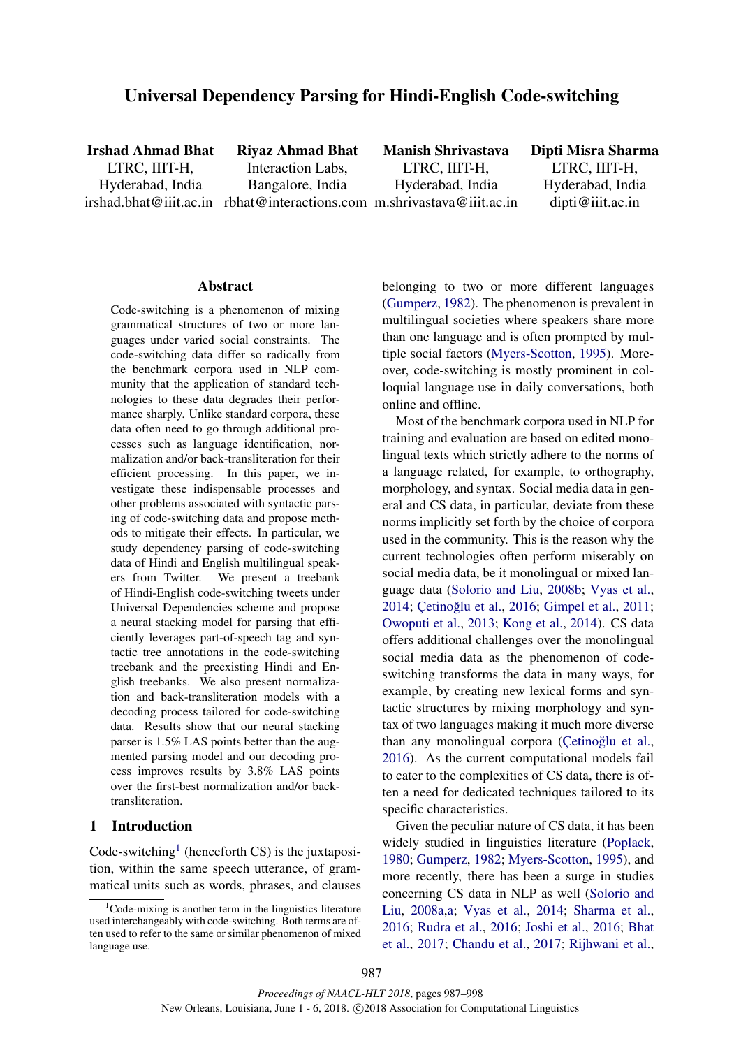# Universal Dependency Parsing for Hindi-English Code-switching

Irshad Ahmad Bhat LTRC, IIIT-H, Hyderabad, India

irshad.bhat@iiit.ac.in rbhat@interactions.com m.shrivastava@iiit.ac.in Riyaz Ahmad Bhat Interaction Labs, Bangalore, India

Manish Shrivastava LTRC, IIIT-H, Hyderabad, India

Dipti Misra Sharma LTRC, IIIT-H, Hyderabad, India dipti@iiit.ac.in

### Abstract

Code-switching is a phenomenon of mixing grammatical structures of two or more languages under varied social constraints. The code-switching data differ so radically from the benchmark corpora used in NLP community that the application of standard technologies to these data degrades their performance sharply. Unlike standard corpora, these data often need to go through additional processes such as language identification, normalization and/or back-transliteration for their efficient processing. In this paper, we investigate these indispensable processes and other problems associated with syntactic parsing of code-switching data and propose methods to mitigate their effects. In particular, we study dependency parsing of code-switching data of Hindi and English multilingual speakers from Twitter. We present a treebank of Hindi-English code-switching tweets under Universal Dependencies scheme and propose a neural stacking model for parsing that efficiently leverages part-of-speech tag and syntactic tree annotations in the code-switching treebank and the preexisting Hindi and English treebanks. We also present normalization and back-transliteration models with a decoding process tailored for code-switching data. Results show that our neural stacking parser is 1.5% LAS points better than the augmented parsing model and our decoding process improves results by 3.8% LAS points over the first-best normalization and/or backtransliteration.

## 1 Introduction

Code-switching<sup>1</sup> (henceforth CS) is the juxtaposition, within the same speech utterance, of grammatical units such as words, phrases, and clauses belonging to two or more different languages (Gumperz, 1982). The phenomenon is prevalent in multilingual societies where speakers share more than one language and is often prompted by multiple social factors (Myers-Scotton, 1995). Moreover, code-switching is mostly prominent in colloquial language use in daily conversations, both online and offline.

Most of the benchmark corpora used in NLP for training and evaluation are based on edited monolingual texts which strictly adhere to the norms of a language related, for example, to orthography, morphology, and syntax. Social media data in general and CS data, in particular, deviate from these norms implicitly set forth by the choice of corpora used in the community. This is the reason why the current technologies often perform miserably on social media data, be it monolingual or mixed language data (Solorio and Liu, 2008b; Vyas et al., 2014; Cetinoğlu et al., 2016; Gimpel et al., 2011; Owoputi et al., 2013; Kong et al., 2014). CS data offers additional challenges over the monolingual social media data as the phenomenon of codeswitching transforms the data in many ways, for example, by creating new lexical forms and syntactic structures by mixing morphology and syntax of two languages making it much more diverse than any monolingual corpora (Çetinoğlu et al., 2016). As the current computational models fail to cater to the complexities of CS data, there is often a need for dedicated techniques tailored to its specific characteristics.

Given the peculiar nature of CS data, it has been widely studied in linguistics literature (Poplack, 1980; Gumperz, 1982; Myers-Scotton, 1995), and more recently, there has been a surge in studies concerning CS data in NLP as well (Solorio and Liu, 2008a,a; Vyas et al., 2014; Sharma et al., 2016; Rudra et al., 2016; Joshi et al., 2016; Bhat et al., 2017; Chandu et al., 2017; Rijhwani et al.,

 $1^1$ Code-mixing is another term in the linguistics literature used interchangeably with code-switching. Both terms are often used to refer to the same or similar phenomenon of mixed language use.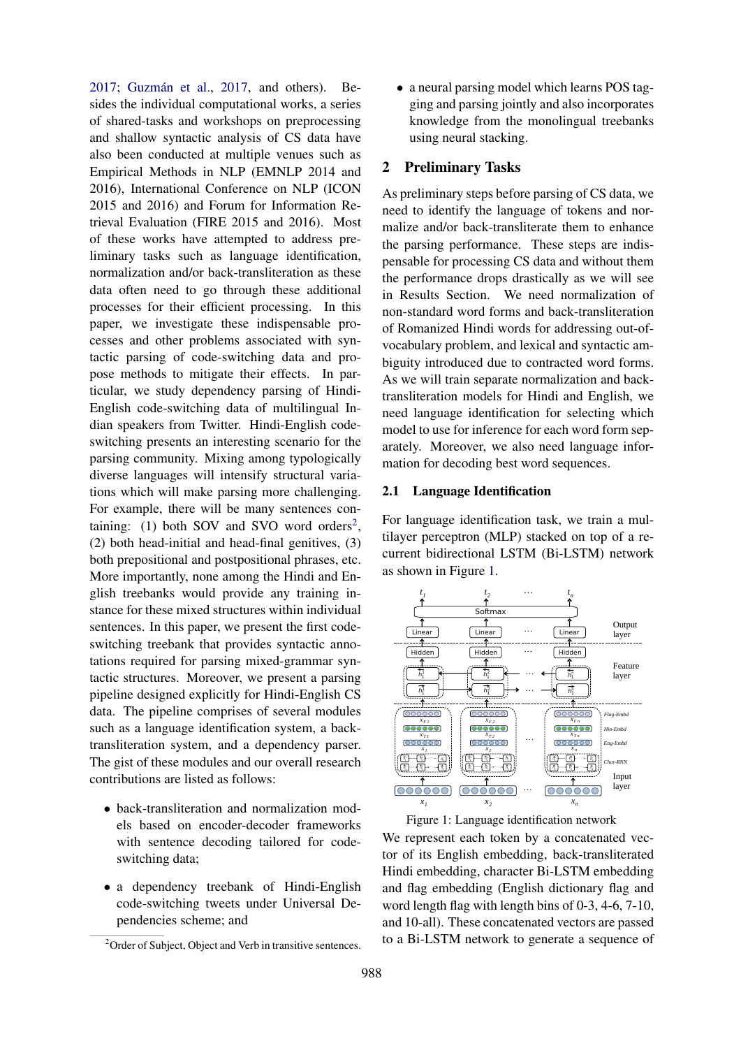$2017$ ; Guzmán et al.,  $2017$ , and others). Besides the individual computational works, a series of shared-tasks and workshops on preprocessing and shallow syntactic analysis of CS data have also been conducted at multiple venues such as Empirical Methods in NLP (EMNLP 2014 and 2016), International Conference on NLP (ICON 2015 and 2016) and Forum for Information Retrieval Evaluation (FIRE 2015 and 2016). Most of these works have attempted to address preliminary tasks such as language identification, normalization and/or back-transliteration as these data often need to go through these additional processes for their efficient processing. In this paper, we investigate these indispensable processes and other problems associated with syntactic parsing of code-switching data and propose methods to mitigate their effects. In particular, we study dependency parsing of Hindi-English code-switching data of multilingual Indian speakers from Twitter. Hindi-English codeswitching presents an interesting scenario for the parsing community. Mixing among typologically diverse languages will intensify structural variations which will make parsing more challenging. For example, there will be many sentences containing: (1) both SOV and SVO word orders<sup>2</sup>, (2) both head-initial and head-final genitives, (3) both prepositional and postpositional phrases, etc. More importantly, none among the Hindi and English treebanks would provide any training instance for these mixed structures within individual sentences. In this paper, we present the first codeswitching treebank that provides syntactic annotations required for parsing mixed-grammar syntactic structures. Moreover, we present a parsing pipeline designed explicitly for Hindi-English CS data. The pipeline comprises of several modules such as a language identification system, a backtransliteration system, and a dependency parser. The gist of these modules and our overall research contributions are listed as follows:

- back-transliteration and normalization models based on encoder-decoder frameworks with sentence decoding tailored for codeswitching data;
- a dependency treebank of Hindi-English code-switching tweets under Universal Dependencies scheme; and

• a neural parsing model which learns POS tagging and parsing jointly and also incorporates knowledge from the monolingual treebanks using neural stacking.

## 2 Preliminary Tasks

As preliminary steps before parsing of CS data, we need to identify the language of tokens and normalize and/or back-transliterate them to enhance the parsing performance. These steps are indispensable for processing CS data and without them the performance drops drastically as we will see in Results Section. We need normalization of non-standard word forms and back-transliteration of Romanized Hindi words for addressing out-ofvocabulary problem, and lexical and syntactic ambiguity introduced due to contracted word forms. As we will train separate normalization and backtransliteration models for Hindi and English, we need language identification for selecting which model to use for inference for each word form separately. Moreover, we also need language information for decoding best word sequences.

#### 2.1 Language Identification

For language identification task, we train a multilayer perceptron (MLP) stacked on top of a recurrent bidirectional LSTM (Bi-LSTM) network as shown in Figure 1.



Figure 1: Language identification network

We represent each token by a concatenated vector of its English embedding, back-transliterated Hindi embedding, character Bi-LSTM embedding and flag embedding (English dictionary flag and word length flag with length bins of 0-3, 4-6, 7-10, and 10-all). These concatenated vectors are passed to a Bi-LSTM network to generate a sequence of

 $2$ Order of Subject, Object and Verb in transitive sentences.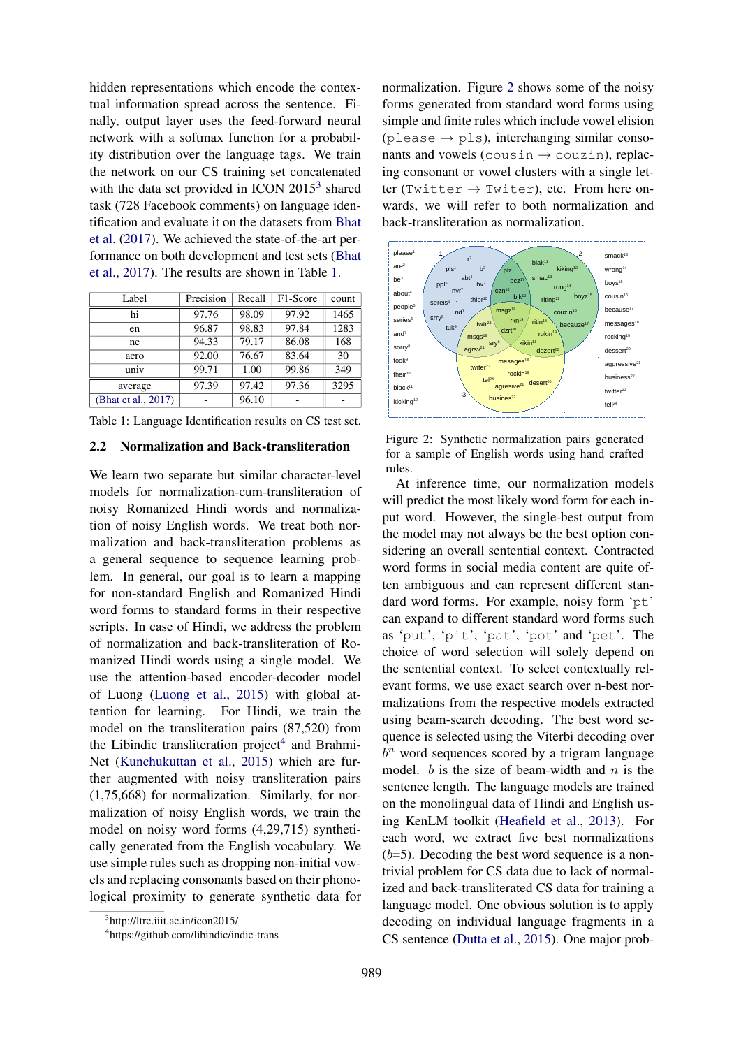hidden representations which encode the contextual information spread across the sentence. Finally, output layer uses the feed-forward neural network with a softmax function for a probability distribution over the language tags. We train the network on our CS training set concatenated with the data set provided in ICON  $2015^3$  shared task (728 Facebook comments) on language identification and evaluate it on the datasets from Bhat et al. (2017). We achieved the state-of-the-art performance on both development and test sets (Bhat et al., 2017). The results are shown in Table 1.

| Label               | Precision | Recall | F1-Score | count |
|---------------------|-----------|--------|----------|-------|
| hi                  | 97.76     | 98.09  | 97.92    | 1465  |
| en                  | 96.87     | 98.83  | 97.84    | 1283  |
| ne                  | 94.33     | 79.17  | 86.08    | 168   |
| acro                | 92.00     | 76.67  | 83.64    | 30    |
| univ                | 99.71     | 1.00   | 99.86    | 349   |
| average             | 97.39     | 97.42  | 97.36    | 3295  |
| (Bhat et al., 2017) |           | 96.10  |          |       |

Table 1: Language Identification results on CS test set.

#### 2.2 Normalization and Back-transliteration

We learn two separate but similar character-level models for normalization-cum-transliteration of noisy Romanized Hindi words and normalization of noisy English words. We treat both normalization and back-transliteration problems as a general sequence to sequence learning problem. In general, our goal is to learn a mapping for non-standard English and Romanized Hindi word forms to standard forms in their respective scripts. In case of Hindi, we address the problem of normalization and back-transliteration of Romanized Hindi words using a single model. We use the attention-based encoder-decoder model of Luong (Luong et al., 2015) with global attention for learning. For Hindi, we train the model on the transliteration pairs (87,520) from the Libindic transliteration project<sup>4</sup> and Brahmi-Net (Kunchukuttan et al., 2015) which are further augmented with noisy transliteration pairs (1,75,668) for normalization. Similarly, for normalization of noisy English words, we train the model on noisy word forms (4,29,715) synthetically generated from the English vocabulary. We use simple rules such as dropping non-initial vowels and replacing consonants based on their phonological proximity to generate synthetic data for

normalization. Figure 2 shows some of the noisy forms generated from standard word forms using simple and finite rules which include vowel elision  $(\text{please} \rightarrow \text{pls})$ , interchanging similar consonants and vowels (cousin  $\rightarrow$  couzin), replacing consonant or vowel clusters with a single letter (Twitter  $\rightarrow$  Twiter), etc. From here onwards, we will refer to both normalization and back-transliteration as normalization.



Figure 2: Synthetic normalization pairs generated for a sample of English words using hand crafted rules.

At inference time, our normalization models will predict the most likely word form for each input word. However, the single-best output from the model may not always be the best option considering an overall sentential context. Contracted word forms in social media content are quite often ambiguous and can represent different standard word forms. For example, noisy form 'pt' can expand to different standard word forms such as 'put', 'pit', 'pat', 'pot' and 'pet'. The choice of word selection will solely depend on the sentential context. To select contextually relevant forms, we use exact search over n-best normalizations from the respective models extracted using beam-search decoding. The best word sequence is selected using the Viterbi decoding over  $b<sup>n</sup>$  word sequences scored by a trigram language model.  $b$  is the size of beam-width and  $n$  is the sentence length. The language models are trained on the monolingual data of Hindi and English using KenLM toolkit (Heafield et al., 2013). For each word, we extract five best normalizations  $(b=5)$ . Decoding the best word sequence is a nontrivial problem for CS data due to lack of normalized and back-transliterated CS data for training a language model. One obvious solution is to apply decoding on individual language fragments in a CS sentence (Dutta et al., 2015). One major prob-

<sup>3</sup> http://ltrc.iiit.ac.in/icon2015/

<sup>4</sup> https://github.com/libindic/indic-trans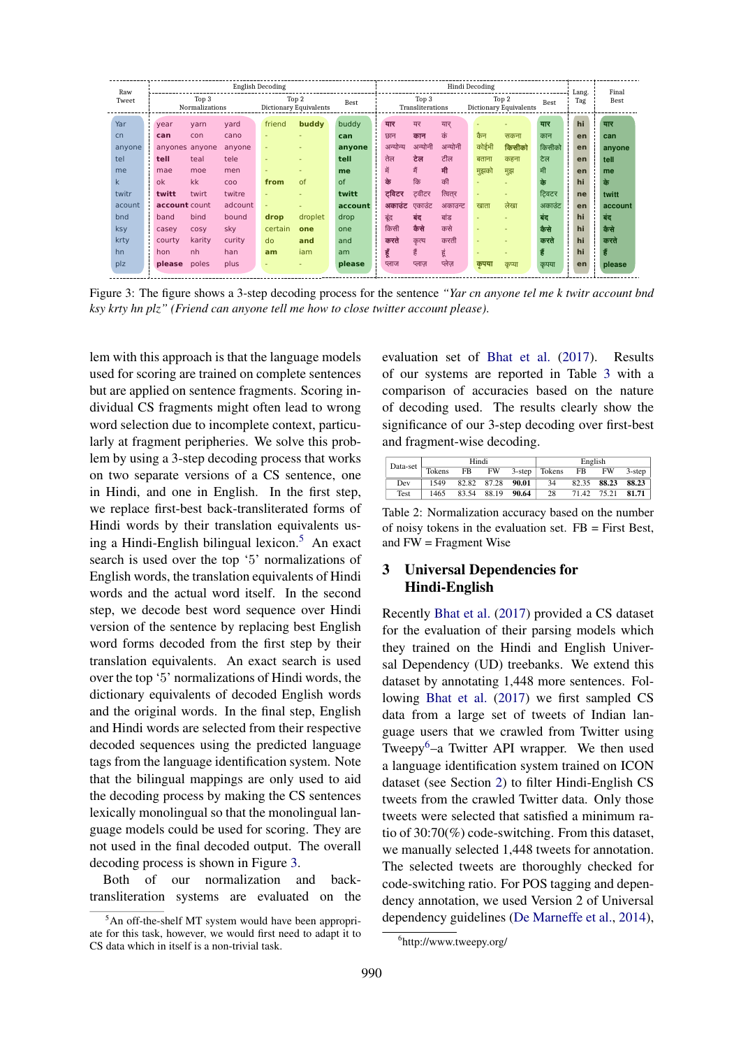| Raw    |               |                         |            | English Decoding         |                                 |         | Hindi Decoding |          |                           |         |       |                                 | Lang.       | Final                                                    |             |
|--------|---------------|-------------------------|------------|--------------------------|---------------------------------|---------|----------------|----------|---------------------------|---------|-------|---------------------------------|-------------|----------------------------------------------------------|-------------|
| Tweet  |               | Top 3<br>Normalizations |            |                          | Top 2<br>Dictionary Equivalents | Best    |                |          | Top 3<br>Transliterations |         |       | Top 2<br>Dictionary Equivalents | <b>Best</b> | Tag                                                      | <b>Best</b> |
| Yar    | year          | yarn                    | yard       | friend                   | buddy                           | buddy   |                | यार      | यर                        | यार     |       |                                 | यार         | ÷<br>hi<br>×.                                            | यार         |
| cn     | can           | con                     | cano       |                          |                                 | can     |                | छान      | कान                       | कं      | कैन   | सकना                            | कान         | $\mathbf{r}$<br>$\mathbf{L}$<br>en                       | can         |
| anyone | anvones       | anyone                  | anyone     | ٠                        |                                 | anyone  |                | अन्योन्य | अन्योनी                   | अन्योनी | कोईभी | किसीको                          | किसीको      | en                                                       | anyone      |
| tel    | tell          | teal                    | tele       | $\overline{\phantom{a}}$ |                                 | tell    |                | तेल      | टेल                       | टील     | बताना | कहना                            | टेल         | $\mathbf{L}$<br>en<br>÷.                                 | tell        |
| me     | mae           | moe                     | men        | $\overline{\phantom{a}}$ |                                 | me      |                | में      | 茸                         | मी      | मुझको | मुझ                             | मी          | $\mathbf{r}$<br>$\mathbf{L}$<br>en<br>$\mathbf{r}$<br>л. | me          |
| k      | ok            | kk                      | <b>COO</b> | from                     | of                              | of      |                | के       | कि                        | की      |       |                                 | के          | $\mathbf{L}$<br>hi<br>$\mathbf{L}$                       | के          |
| twitr  | twitt         | twirt                   | twitre     |                          |                                 | twitt   |                | ट्विटर   | टवीटर                     | त्वितर  |       |                                 | टिवटर       | л.<br>ne<br>$\mathbf{r}$                                 | twitt       |
| acount | account count |                         | adcount    | ٠                        |                                 | account |                | अकाउंट   | एकाउंट                    | अकाउन्ट | खाता  | लेखा                            | अकाउंट      | en                                                       | account     |
| bnd    | band          | bind                    | bound      | drop                     | droplet                         | drop    |                | बूंद     | बंद                       | बांड    |       |                                 | बंद         | $\mathbf{r}$<br>hi<br>л.                                 | बंद         |
| ksy    | casey         | <b>COSV</b>             | sky        | certain                  | one                             | one     |                | किसी     | कैसे                      | कसे     |       |                                 | कैसे        | $\mathbf{r}$<br>hi<br>$\mathbf{L}$                       | कैसे        |
| krty   | courty        | karity                  | curity     | do                       | and                             | and     |                | करते     | कृत्य                     | करती    |       |                                 | करते        | $\mathbf{L}$<br>hi<br>$\mathbf{r}$                       | करते        |
| hn     | hon           | nh                      | han        | am                       | iam                             | am      |                | हूँ      | 青                         | हूं     |       |                                 | हैं         | $\mathbf{L}$<br>hi<br>$\mathbf{L}$<br>л.                 | हैं         |
| plz    | please        | poles                   | plus       | $\overline{\phantom{a}}$ |                                 | please  |                | प्लाज    | प्लाज़                    | प्लेज़  | कृपया | कृप्या                          | कृपया       | $\mathbf{L}$<br>en<br>$\mathbf{r}$                       | please      |

Figure 3: The figure shows a 3-step decoding process for the sentence *"Yar cn anyone tel me k twitr account bnd ksy krty hn plz" (Friend can anyone tell me how to close twitter account please)*.

lem with this approach is that the language models used for scoring are trained on complete sentences but are applied on sentence fragments. Scoring individual CS fragments might often lead to wrong word selection due to incomplete context, particularly at fragment peripheries. We solve this problem by using a 3-step decoding process that works on two separate versions of a CS sentence, one in Hindi, and one in English. In the first step, we replace first-best back-transliterated forms of Hindi words by their translation equivalents using a Hindi-English bilingual lexicon.<sup>5</sup> An exact search is used over the top '5' normalizations of English words, the translation equivalents of Hindi words and the actual word itself. In the second step, we decode best word sequence over Hindi version of the sentence by replacing best English word forms decoded from the first step by their translation equivalents. An exact search is used over the top '5' normalizations of Hindi words, the dictionary equivalents of decoded English words and the original words. In the final step, English and Hindi words are selected from their respective decoded sequences using the predicted language tags from the language identification system. Note that the bilingual mappings are only used to aid the decoding process by making the CS sentences lexically monolingual so that the monolingual language models could be used for scoring. They are not used in the final decoded output. The overall decoding process is shown in Figure 3.

Both of our normalization and backtransliteration systems are evaluated on the evaluation set of Bhat et al. (2017). Results of our systems are reported in Table 3 with a comparison of accuracies based on the nature of decoding used. The results clearly show the significance of our 3-step decoding over first-best and fragment-wise decoding.

| Data-set |        | Hindi |       |           |        | English |           |           |
|----------|--------|-------|-------|-----------|--------|---------|-----------|-----------|
|          | Tokens | FB    | FW    | $3$ -step | Tokens | FB      | <b>FW</b> | $3$ -step |
| Dev      | 1549   | 82.82 | 87.28 | 90.01     | 34     | 82.35   | 88.23     | 88.23     |
| Test     | 1465   | 83.54 | 88.19 | 90.64     | 28     | 71.42   | 75.21     | 81.71     |

Table 2: Normalization accuracy based on the number of noisy tokens in the evaluation set. FB = First Best, and FW = Fragment Wise

# 3 Universal Dependencies for Hindi-English

Recently Bhat et al. (2017) provided a CS dataset for the evaluation of their parsing models which they trained on the Hindi and English Universal Dependency (UD) treebanks. We extend this dataset by annotating 1,448 more sentences. Following Bhat et al. (2017) we first sampled CS data from a large set of tweets of Indian language users that we crawled from Twitter using Tweepy<sup>6</sup>–a Twitter API wrapper. We then used a language identification system trained on ICON dataset (see Section 2) to filter Hindi-English CS tweets from the crawled Twitter data. Only those tweets were selected that satisfied a minimum ratio of 30:70(%) code-switching. From this dataset, we manually selected 1,448 tweets for annotation. The selected tweets are thoroughly checked for code-switching ratio. For POS tagging and dependency annotation, we used Version 2 of Universal dependency guidelines (De Marneffe et al., 2014),

 $5$ An off-the-shelf MT system would have been appropriate for this task, however, we would first need to adapt it to CS data which in itself is a non-trivial task.

<sup>6</sup> http://www.tweepy.org/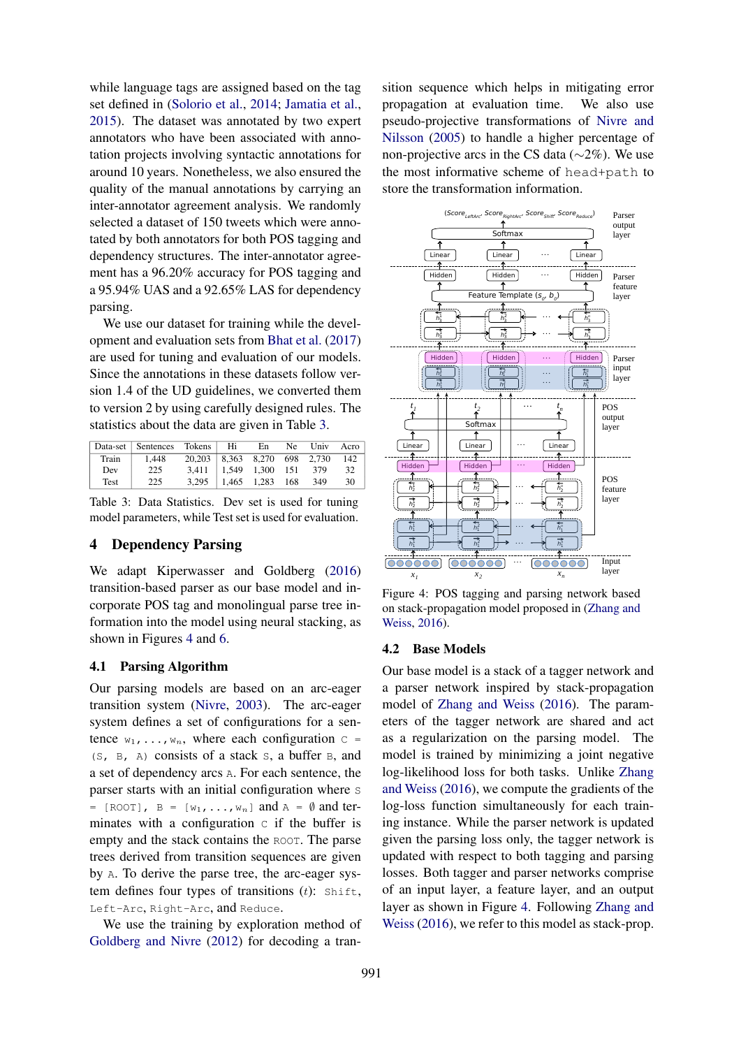while language tags are assigned based on the tag set defined in (Solorio et al., 2014; Jamatia et al., 2015). The dataset was annotated by two expert annotators who have been associated with annotation projects involving syntactic annotations for around 10 years. Nonetheless, we also ensured the quality of the manual annotations by carrying an inter-annotator agreement analysis. We randomly selected a dataset of 150 tweets which were annotated by both annotators for both POS tagging and dependency structures. The inter-annotator agreement has a 96.20% accuracy for POS tagging and a 95.94% UAS and a 92.65% LAS for dependency parsing.

We use our dataset for training while the development and evaluation sets from Bhat et al. (2017) are used for tuning and evaluation of our models. Since the annotations in these datasets follow version 1.4 of the UD guidelines, we converted them to version 2 by using carefully designed rules. The statistics about the data are given in Table 3.

|       | Data-set Sentences Tokens Hi |                                    | En                        | Ne Univ Acro |    |
|-------|------------------------------|------------------------------------|---------------------------|--------------|----|
| Train | 1.448                        | 20,203   8,363 8,270 698 2,730 142 |                           |              |    |
| Dev   | 225                          | $3,411$   1,549 1,300 151 379      |                           |              | 32 |
| Test  | 225                          |                                    | $3,295$   1,465 1,283 168 | 349          | 30 |

Table 3: Data Statistics. Dev set is used for tuning model parameters, while Test set is used for evaluation.

## 4 Dependency Parsing

We adapt Kiperwasser and Goldberg (2016) transition-based parser as our base model and incorporate POS tag and monolingual parse tree information into the model using neural stacking, as shown in Figures 4 and 6.

#### 4.1 Parsing Algorithm

Our parsing models are based on an arc-eager transition system (Nivre, 2003). The arc-eager system defines a set of configurations for a sentence  $w_1, \ldots, w_n$ , where each configuration  $C =$ (S, B, A) consists of a stack S, a buffer B, and a set of dependency arcs A. For each sentence, the parser starts with an initial configuration where s =  $[ROOT]$ , B =  $[w_1, \ldots, w_n]$  and A =  $\emptyset$  and terminates with a configuration  $\sigma$  if the buffer is empty and the stack contains the ROOT. The parse trees derived from transition sequences are given by A. To derive the parse tree, the arc-eager system defines four types of transitions  $(t)$ : Shift, Left-Arc, Right-Arc, and Reduce.

We use the training by exploration method of Goldberg and Nivre (2012) for decoding a transition sequence which helps in mitigating error propagation at evaluation time. We also use pseudo-projective transformations of Nivre and Nilsson (2005) to handle a higher percentage of non-projective arcs in the CS data (∼2%). We use the most informative scheme of head+path to store the transformation information.



Figure 4: POS tagging and parsing network based on stack-propagation model proposed in (Zhang and Weiss, 2016).

#### 4.2 Base Models

Our base model is a stack of a tagger network and a parser network inspired by stack-propagation model of Zhang and Weiss (2016). The parameters of the tagger network are shared and act as a regularization on the parsing model. The model is trained by minimizing a joint negative log-likelihood loss for both tasks. Unlike Zhang and Weiss (2016), we compute the gradients of the log-loss function simultaneously for each training instance. While the parser network is updated given the parsing loss only, the tagger network is updated with respect to both tagging and parsing losses. Both tagger and parser networks comprise of an input layer, a feature layer, and an output layer as shown in Figure 4. Following Zhang and Weiss (2016), we refer to this model as stack-prop.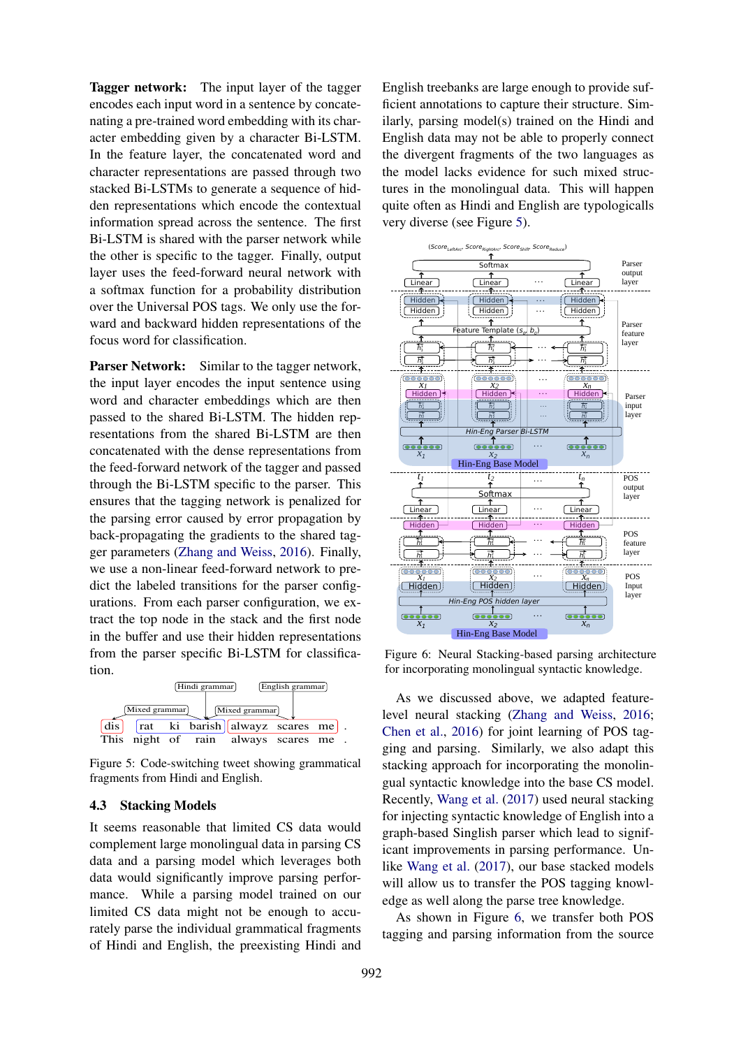Tagger network: The input layer of the tagger encodes each input word in a sentence by concatenating a pre-trained word embedding with its character embedding given by a character Bi-LSTM. In the feature layer, the concatenated word and character representations are passed through two stacked Bi-LSTMs to generate a sequence of hidden representations which encode the contextual information spread across the sentence. The first Bi-LSTM is shared with the parser network while the other is specific to the tagger. Finally, output layer uses the feed-forward neural network with a softmax function for a probability distribution over the Universal POS tags. We only use the forward and backward hidden representations of the focus word for classification.

Parser Network: Similar to the tagger network. the input layer encodes the input sentence using word and character embeddings which are then passed to the shared Bi-LSTM. The hidden representations from the shared Bi-LSTM are then concatenated with the dense representations from the feed-forward network of the tagger and passed through the Bi-LSTM specific to the parser. This ensures that the tagging network is penalized for the parsing error caused by error propagation by back-propagating the gradients to the shared tagger parameters (Zhang and Weiss, 2016). Finally, we use a non-linear feed-forward network to predict the labeled transitions for the parser configurations. From each parser configuration, we extract the top node in the stack and the first node in the buffer and use their hidden representations from the parser specific Bi-LSTM for classification.



Figure 5: Code-switching tweet showing grammatical fragments from Hindi and English.

#### 4.3 Stacking Models

It seems reasonable that limited CS data would complement large monolingual data in parsing CS data and a parsing model which leverages both data would significantly improve parsing performance. While a parsing model trained on our limited CS data might not be enough to accurately parse the individual grammatical fragments of Hindi and English, the preexisting Hindi and

English treebanks are large enough to provide sufficient annotations to capture their structure. Similarly, parsing model(s) trained on the Hindi and English data may not be able to properly connect the divergent fragments of the two languages as the model lacks evidence for such mixed structures in the monolingual data. This will happen quite often as Hindi and English are typologicalls very diverse (see Figure 5).



Figure 6: Neural Stacking-based parsing architecture for incorporating monolingual syntactic knowledge.

As we discussed above, we adapted featurelevel neural stacking (Zhang and Weiss, 2016; Chen et al., 2016) for joint learning of POS tagging and parsing. Similarly, we also adapt this stacking approach for incorporating the monolingual syntactic knowledge into the base CS model. Recently, Wang et al. (2017) used neural stacking for injecting syntactic knowledge of English into a graph-based Singlish parser which lead to significant improvements in parsing performance. Unlike Wang et al. (2017), our base stacked models will allow us to transfer the POS tagging knowledge as well along the parse tree knowledge.

As shown in Figure 6, we transfer both POS tagging and parsing information from the source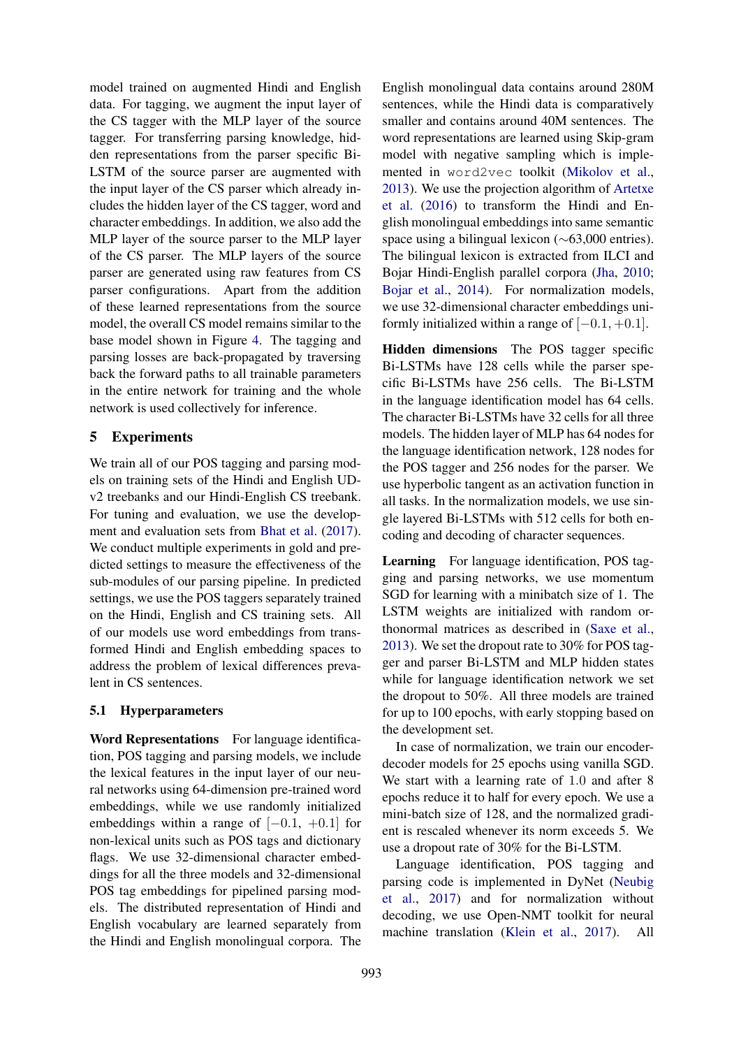model trained on augmented Hindi and English data. For tagging, we augment the input layer of the CS tagger with the MLP layer of the source tagger. For transferring parsing knowledge, hidden representations from the parser specific Bi-LSTM of the source parser are augmented with the input layer of the CS parser which already includes the hidden layer of the CS tagger, word and character embeddings. In addition, we also add the MLP layer of the source parser to the MLP layer of the CS parser. The MLP layers of the source parser are generated using raw features from CS parser configurations. Apart from the addition of these learned representations from the source model, the overall CS model remains similar to the base model shown in Figure 4. The tagging and parsing losses are back-propagated by traversing back the forward paths to all trainable parameters in the entire network for training and the whole network is used collectively for inference.

# 5 Experiments

We train all of our POS tagging and parsing models on training sets of the Hindi and English UDv2 treebanks and our Hindi-English CS treebank. For tuning and evaluation, we use the development and evaluation sets from Bhat et al. (2017). We conduct multiple experiments in gold and predicted settings to measure the effectiveness of the sub-modules of our parsing pipeline. In predicted settings, we use the POS taggers separately trained on the Hindi, English and CS training sets. All of our models use word embeddings from transformed Hindi and English embedding spaces to address the problem of lexical differences prevalent in CS sentences.

# 5.1 Hyperparameters

Word Representations For language identification, POS tagging and parsing models, we include the lexical features in the input layer of our neural networks using 64-dimension pre-trained word embeddings, while we use randomly initialized embeddings within a range of  $[-0.1, +0.1]$  for non-lexical units such as POS tags and dictionary flags. We use 32-dimensional character embeddings for all the three models and 32-dimensional POS tag embeddings for pipelined parsing models. The distributed representation of Hindi and English vocabulary are learned separately from the Hindi and English monolingual corpora. The

English monolingual data contains around 280M sentences, while the Hindi data is comparatively smaller and contains around 40M sentences. The word representations are learned using Skip-gram model with negative sampling which is implemented in word2vec toolkit (Mikolov et al., 2013). We use the projection algorithm of Artetxe et al. (2016) to transform the Hindi and English monolingual embeddings into same semantic space using a bilingual lexicon (∼63,000 entries). The bilingual lexicon is extracted from ILCI and Bojar Hindi-English parallel corpora (Jha, 2010; Bojar et al., 2014). For normalization models, we use 32-dimensional character embeddings uniformly initialized within a range of  $[-0.1, +0.1]$ .

Hidden dimensions The POS tagger specific Bi-LSTMs have 128 cells while the parser specific Bi-LSTMs have 256 cells. The Bi-LSTM in the language identification model has 64 cells. The character Bi-LSTMs have 32 cells for all three models. The hidden layer of MLP has 64 nodes for the language identification network, 128 nodes for the POS tagger and 256 nodes for the parser. We use hyperbolic tangent as an activation function in all tasks. In the normalization models, we use single layered Bi-LSTMs with 512 cells for both encoding and decoding of character sequences.

Learning For language identification, POS tagging and parsing networks, we use momentum SGD for learning with a minibatch size of 1. The LSTM weights are initialized with random orthonormal matrices as described in (Saxe et al., 2013). We set the dropout rate to 30% for POS tagger and parser Bi-LSTM and MLP hidden states while for language identification network we set the dropout to 50%. All three models are trained for up to 100 epochs, with early stopping based on the development set.

In case of normalization, we train our encoderdecoder models for 25 epochs using vanilla SGD. We start with a learning rate of 1.0 and after 8 epochs reduce it to half for every epoch. We use a mini-batch size of 128, and the normalized gradient is rescaled whenever its norm exceeds 5. We use a dropout rate of 30% for the Bi-LSTM.

Language identification, POS tagging and parsing code is implemented in DyNet (Neubig et al., 2017) and for normalization without decoding, we use Open-NMT toolkit for neural machine translation (Klein et al., 2017). All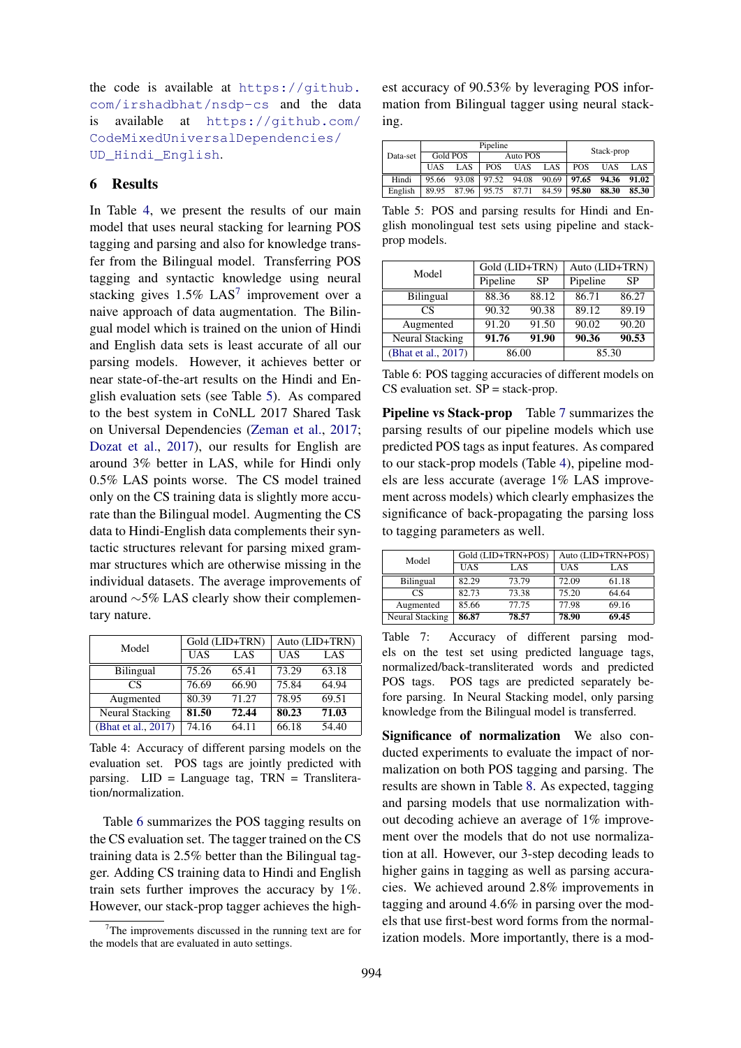the code is available at https://github. com/irshadbhat/nsdp-cs and the data is available at https://github.com/ CodeMixedUniversalDependencies/ UD\_Hindi\_English.

# 6 Results

In Table 4, we present the results of our main model that uses neural stacking for learning POS tagging and parsing and also for knowledge transfer from the Bilingual model. Transferring POS tagging and syntactic knowledge using neural stacking gives  $1.5\%$  LAS<sup>7</sup> improvement over a naive approach of data augmentation. The Bilingual model which is trained on the union of Hindi and English data sets is least accurate of all our parsing models. However, it achieves better or near state-of-the-art results on the Hindi and English evaluation sets (see Table 5). As compared to the best system in CoNLL 2017 Shared Task on Universal Dependencies (Zeman et al., 2017; Dozat et al., 2017), our results for English are around 3% better in LAS, while for Hindi only 0.5% LAS points worse. The CS model trained only on the CS training data is slightly more accurate than the Bilingual model. Augmenting the CS data to Hindi-English data complements their syntactic structures relevant for parsing mixed grammar structures which are otherwise missing in the individual datasets. The average improvements of around ∼5% LAS clearly show their complementary nature.

| Model               |            | Gold (LID+TRN) | Auto (LID+TRN) |       |  |
|---------------------|------------|----------------|----------------|-------|--|
|                     | <b>UAS</b> | LAS            | <b>UAS</b>     | LAS   |  |
| <b>Bilingual</b>    | 75.26      | 65.41          | 73.29          | 63.18 |  |
| CS                  | 76.69      | 66.90          | 75.84          | 64.94 |  |
| Augmented           | 80.39      | 71.27          | 78.95          | 69.51 |  |
| Neural Stacking     | 81.50      | 72.44          | 80.23          | 71.03 |  |
| (Bhat et al., 2017) | 74.16      | 64.11          | 66.18          | 54.40 |  |

Table 4: Accuracy of different parsing models on the evaluation set. POS tags are jointly predicted with parsing.  $LID = Language tag$ ,  $TRN = Translateera$ tion/normalization.

Table 6 summarizes the POS tagging results on the CS evaluation set. The tagger trained on the CS training data is 2.5% better than the Bilingual tagger. Adding CS training data to Hindi and English train sets further improves the accuracy by 1%. However, our stack-prop tagger achieves the high-

est accuracy of 90.53% by leveraging POS information from Bilingual tagger using neural stacking.

|          |            |          | Pipeline   |       | Stack-prop |            |            |       |
|----------|------------|----------|------------|-------|------------|------------|------------|-------|
| Data-set |            | Gold POS | Auto POS   |       |            |            |            |       |
|          | <b>UAS</b> | LAS      | <b>POS</b> | UAS   | LAS        | <b>POS</b> | <b>UAS</b> | LAS   |
| Hindi    | 95.66      | 93.08    | 97.52      | 94.08 | 90.69      | 97.65      | 94.36      | 91.02 |
| English  | 89.95      | 87.96    | 95.75      | 87.71 | 84.59      | 95.80      | 88.30      | 85.30 |

Table 5: POS and parsing results for Hindi and English monolingual test sets using pipeline and stackprop models.

| Model                  | Gold (LID+TRN) |       | Auto (LID+TRN) |       |  |
|------------------------|----------------|-------|----------------|-------|--|
|                        | Pipeline       | SP    | Pipeline       | SP    |  |
| <b>Bilingual</b>       | 88.36          | 88.12 | 86.71          | 86.27 |  |
| CS                     | 90.32          | 90.38 | 89.12          | 89.19 |  |
| Augmented              | 91.20          | 91.50 | 90.02          | 90.20 |  |
| <b>Neural Stacking</b> | 91.76          | 91.90 | 90.36          | 90.53 |  |
| (Bhat et al., 2017)    | 86.00          |       | 85.30          |       |  |

Table 6: POS tagging accuracies of different models on  $CS$  evaluation set.  $SP =$  stack-prop.

Pipeline vs Stack-prop Table 7 summarizes the parsing results of our pipeline models which use predicted POS tags as input features. As compared to our stack-prop models (Table 4), pipeline models are less accurate (average 1% LAS improvement across models) which clearly emphasizes the significance of back-propagating the parsing loss to tagging parameters as well.

| Model            |            | Gold (LID+TRN+POS) |            | Auto (LID+TRN+POS) |
|------------------|------------|--------------------|------------|--------------------|
|                  | <b>UAS</b> | LAS                | <b>UAS</b> | LAS                |
| <b>Bilingual</b> | 82.29      | 73.79              | 72.09      | 61.18              |
| CS               | 82.73      | 73.38              | 75.20      | 64.64              |
| Augmented        | 85.66      | 77.75              | 77.98      | 69.16              |
| Neural Stacking  | 86.87      | 78.57              | 78.90      | 69.45              |

Table 7: Accuracy of different parsing models on the test set using predicted language tags, normalized/back-transliterated words and predicted POS tags. POS tags are predicted separately before parsing. In Neural Stacking model, only parsing knowledge from the Bilingual model is transferred.

Significance of normalization We also conducted experiments to evaluate the impact of normalization on both POS tagging and parsing. The results are shown in Table 8. As expected, tagging and parsing models that use normalization without decoding achieve an average of 1% improvement over the models that do not use normalization at all. However, our 3-step decoding leads to higher gains in tagging as well as parsing accuracies. We achieved around 2.8% improvements in tagging and around 4.6% in parsing over the models that use first-best word forms from the normalization models. More importantly, there is a mod-

 $7$ The improvements discussed in the running text are for the models that are evaluated in auto settings.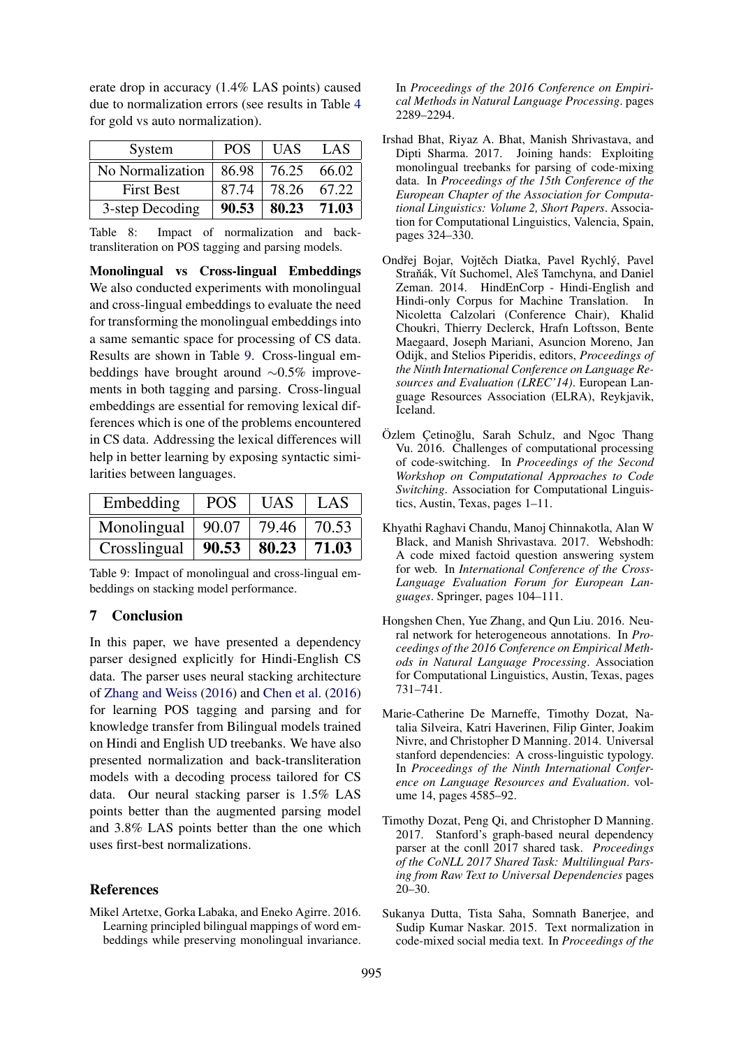erate drop in accuracy (1.4% LAS points) caused due to normalization errors (see results in Table 4 for gold vs auto normalization).

| System            | <b>POS</b> | <b>UAS</b> | LAS   |
|-------------------|------------|------------|-------|
| No Normalization  | 86.98      | 76.25      | 66.02 |
| <b>First Best</b> | 87.74      | 78.26      | 67.22 |
| 3-step Decoding   | 90.53      | 80.23      | 71.03 |

Table 8: Impact of normalization and backtransliteration on POS tagging and parsing models.

Monolingual vs Cross-lingual Embeddings We also conducted experiments with monolingual and cross-lingual embeddings to evaluate the need for transforming the monolingual embeddings into a same semantic space for processing of CS data. Results are shown in Table 9. Cross-lingual embeddings have brought around ∼0.5% improvements in both tagging and parsing. Cross-lingual embeddings are essential for removing lexical differences which is one of the problems encountered in CS data. Addressing the lexical differences will help in better learning by exposing syntactic similarities between languages.

| Embedding    | <b>POS</b> | <b>UAS</b> | LAS   |
|--------------|------------|------------|-------|
| Monolingual  | 90.07      | 79.46      | 70.53 |
| Crosslingual | 90.53      | 80.23      | 71.03 |

Table 9: Impact of monolingual and cross-lingual embeddings on stacking model performance.

# 7 Conclusion

In this paper, we have presented a dependency parser designed explicitly for Hindi-English CS data. The parser uses neural stacking architecture of Zhang and Weiss (2016) and Chen et al. (2016) for learning POS tagging and parsing and for knowledge transfer from Bilingual models trained on Hindi and English UD treebanks. We have also presented normalization and back-transliteration models with a decoding process tailored for CS data. Our neural stacking parser is 1.5% LAS points better than the augmented parsing model and 3.8% LAS points better than the one which uses first-best normalizations.

### References

Mikel Artetxe, Gorka Labaka, and Eneko Agirre. 2016. Learning principled bilingual mappings of word embeddings while preserving monolingual invariance. In *Proceedings of the 2016 Conference on Empirical Methods in Natural Language Processing*. pages 2289–2294.

- Irshad Bhat, Riyaz A. Bhat, Manish Shrivastava, and Dipti Sharma. 2017. Joining hands: Exploiting monolingual treebanks for parsing of code-mixing data. In *Proceedings of the 15th Conference of the European Chapter of the Association for Computational Linguistics: Volume 2, Short Papers*. Association for Computational Linguistics, Valencia, Spain, pages 324–330.
- Ondřej Bojar, Vojtěch Diatka, Pavel Rychlý, Pavel Straňák, Vít Suchomel, Aleš Tamchyna, and Daniel Zeman. 2014. HindEnCorp - Hindi-English and Hindi-only Corpus for Machine Translation. In Nicoletta Calzolari (Conference Chair), Khalid Choukri, Thierry Declerck, Hrafn Loftsson, Bente Maegaard, Joseph Mariani, Asuncion Moreno, Jan Odijk, and Stelios Piperidis, editors, *Proceedings of the Ninth International Conference on Language Resources and Evaluation (LREC'14)*. European Language Resources Association (ELRA), Reykjavik, Iceland.
- Özlem Cetinoğlu, Sarah Schulz, and Ngoc Thang Vu. 2016. Challenges of computational processing of code-switching. In *Proceedings of the Second Workshop on Computational Approaches to Code Switching*. Association for Computational Linguistics, Austin, Texas, pages 1–11.
- Khyathi Raghavi Chandu, Manoj Chinnakotla, Alan W Black, and Manish Shrivastava. 2017. Webshodh: A code mixed factoid question answering system for web. In *International Conference of the Cross-Language Evaluation Forum for European Languages*. Springer, pages 104–111.
- Hongshen Chen, Yue Zhang, and Qun Liu. 2016. Neural network for heterogeneous annotations. In *Proceedings of the 2016 Conference on Empirical Methods in Natural Language Processing*. Association for Computational Linguistics, Austin, Texas, pages 731–741.
- Marie-Catherine De Marneffe, Timothy Dozat, Natalia Silveira, Katri Haverinen, Filip Ginter, Joakim Nivre, and Christopher D Manning. 2014. Universal stanford dependencies: A cross-linguistic typology. In *Proceedings of the Ninth International Conference on Language Resources and Evaluation*. volume 14, pages 4585–92.
- Timothy Dozat, Peng Qi, and Christopher D Manning. 2017. Stanford's graph-based neural dependency parser at the conll 2017 shared task. *Proceedings of the CoNLL 2017 Shared Task: Multilingual Parsing from Raw Text to Universal Dependencies* pages 20–30.
- Sukanya Dutta, Tista Saha, Somnath Banerjee, and Sudip Kumar Naskar. 2015. Text normalization in code-mixed social media text. In *Proceedings of the*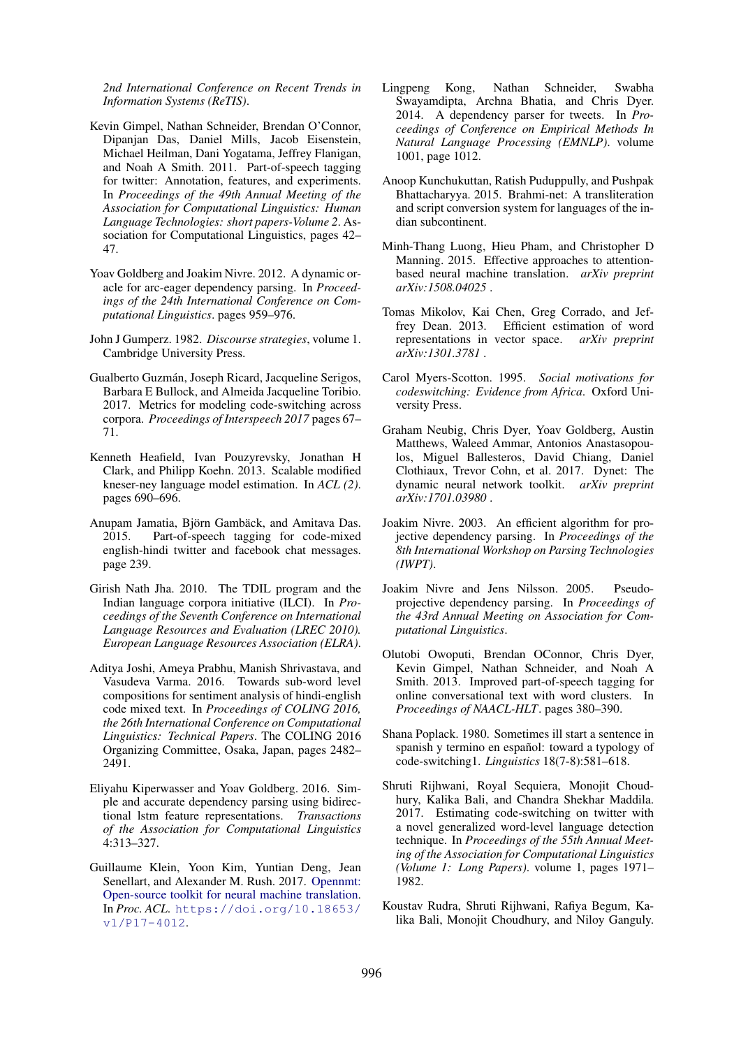*2nd International Conference on Recent Trends in Information Systems (ReTIS)*.

- Kevin Gimpel, Nathan Schneider, Brendan O'Connor, Dipanjan Das, Daniel Mills, Jacob Eisenstein, Michael Heilman, Dani Yogatama, Jeffrey Flanigan, and Noah A Smith. 2011. Part-of-speech tagging for twitter: Annotation, features, and experiments. In *Proceedings of the 49th Annual Meeting of the Association for Computational Linguistics: Human Language Technologies: short papers-Volume 2*. Association for Computational Linguistics, pages 42– 47.
- Yoav Goldberg and Joakim Nivre. 2012. A dynamic oracle for arc-eager dependency parsing. In *Proceedings of the 24th International Conference on Computational Linguistics*. pages 959–976.
- John J Gumperz. 1982. *Discourse strategies*, volume 1. Cambridge University Press.
- Gualberto Guzmán, Joseph Ricard, Jacqueline Serigos, Barbara E Bullock, and Almeida Jacqueline Toribio. 2017. Metrics for modeling code-switching across corpora. *Proceedings of Interspeech 2017* pages 67– 71.
- Kenneth Heafield, Ivan Pouzyrevsky, Jonathan H Clark, and Philipp Koehn. 2013. Scalable modified kneser-ney language model estimation. In *ACL (2)*. pages 690–696.
- Anupam Jamatia, Björn Gambäck, and Amitava Das. 2015. Part-of-speech tagging for code-mixed english-hindi twitter and facebook chat messages. page 239.
- Girish Nath Jha. 2010. The TDIL program and the Indian language corpora initiative (ILCI). In *Proceedings of the Seventh Conference on International Language Resources and Evaluation (LREC 2010). European Language Resources Association (ELRA)*.
- Aditya Joshi, Ameya Prabhu, Manish Shrivastava, and Vasudeva Varma. 2016. Towards sub-word level compositions for sentiment analysis of hindi-english code mixed text. In *Proceedings of COLING 2016, the 26th International Conference on Computational Linguistics: Technical Papers*. The COLING 2016 Organizing Committee, Osaka, Japan, pages 2482– 2491.
- Eliyahu Kiperwasser and Yoav Goldberg. 2016. Simple and accurate dependency parsing using bidirectional lstm feature representations. *Transactions of the Association for Computational Linguistics* 4:313–327.
- Guillaume Klein, Yoon Kim, Yuntian Deng, Jean Senellart, and Alexander M. Rush. 2017. Opennmt: Open-source toolkit for neural machine translation. In *Proc. ACL*. https://doi.org/10.18653/ v1/P17-4012.
- Lingpeng Kong, Nathan Schneider, Swabha Swayamdipta, Archna Bhatia, and Chris Dyer. 2014. A dependency parser for tweets. In *Proceedings of Conference on Empirical Methods In Natural Language Processing (EMNLP)*. volume 1001, page 1012.
- Anoop Kunchukuttan, Ratish Puduppully, and Pushpak Bhattacharyya. 2015. Brahmi-net: A transliteration and script conversion system for languages of the indian subcontinent.
- Minh-Thang Luong, Hieu Pham, and Christopher D Manning. 2015. Effective approaches to attentionbased neural machine translation. *arXiv preprint arXiv:1508.04025* .
- Tomas Mikolov, Kai Chen, Greg Corrado, and Jeffrey Dean. 2013. Efficient estimation of word representations in vector space. *arXiv preprint arXiv:1301.3781* .
- Carol Myers-Scotton. 1995. *Social motivations for codeswitching: Evidence from Africa*. Oxford University Press.
- Graham Neubig, Chris Dyer, Yoav Goldberg, Austin Matthews, Waleed Ammar, Antonios Anastasopoulos, Miguel Ballesteros, David Chiang, Daniel Clothiaux, Trevor Cohn, et al. 2017. Dynet: The dynamic neural network toolkit. *arXiv preprint arXiv:1701.03980* .
- Joakim Nivre. 2003. An efficient algorithm for projective dependency parsing. In *Proceedings of the 8th International Workshop on Parsing Technologies (IWPT)*.
- Joakim Nivre and Jens Nilsson. 2005. Pseudoprojective dependency parsing. In *Proceedings of the 43rd Annual Meeting on Association for Computational Linguistics*.
- Olutobi Owoputi, Brendan OConnor, Chris Dyer, Kevin Gimpel, Nathan Schneider, and Noah A Smith. 2013. Improved part-of-speech tagging for online conversational text with word clusters. In *Proceedings of NAACL-HLT*. pages 380–390.
- Shana Poplack. 1980. Sometimes ill start a sentence in spanish y termino en español: toward a typology of code-switching1. *Linguistics* 18(7-8):581–618.
- Shruti Rijhwani, Royal Sequiera, Monojit Choudhury, Kalika Bali, and Chandra Shekhar Maddila. 2017. Estimating code-switching on twitter with a novel generalized word-level language detection technique. In *Proceedings of the 55th Annual Meeting of the Association for Computational Linguistics (Volume 1: Long Papers)*. volume 1, pages 1971– 1982.
- Koustav Rudra, Shruti Rijhwani, Rafiya Begum, Kalika Bali, Monojit Choudhury, and Niloy Ganguly.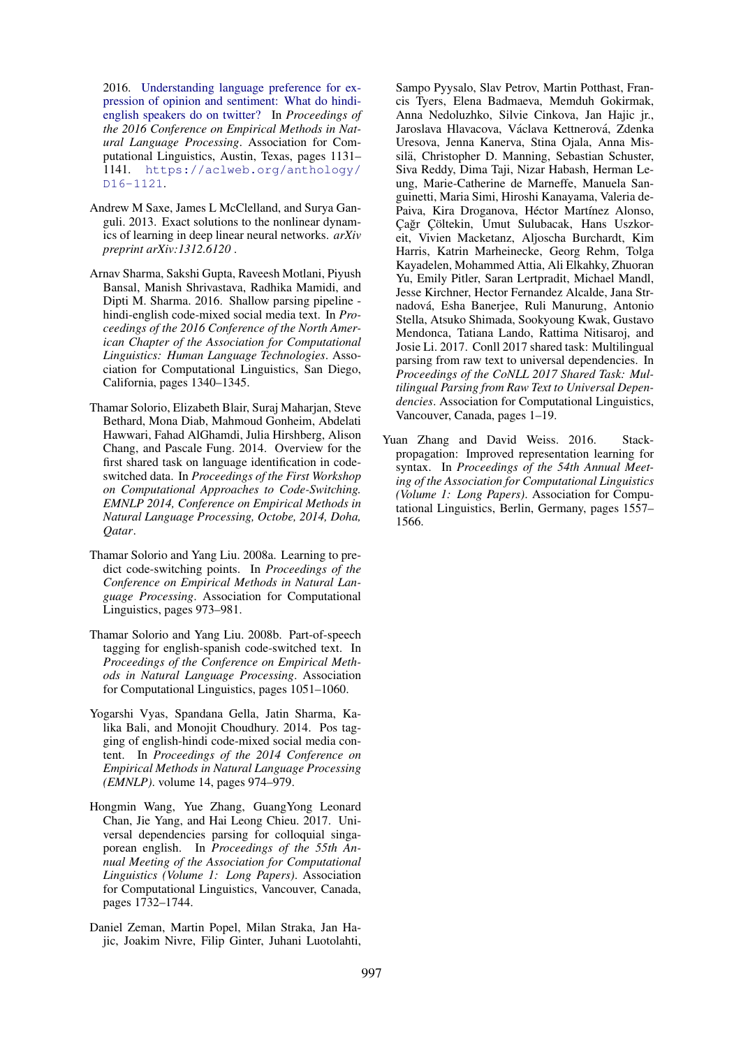2016. Understanding language preference for expression of opinion and sentiment: What do hindienglish speakers do on twitter? In *Proceedings of the 2016 Conference on Empirical Methods in Natural Language Processing*. Association for Computational Linguistics, Austin, Texas, pages 1131– 1141. https://aclweb.org/anthology/ D16-1121.

- Andrew M Saxe, James L McClelland, and Surya Ganguli. 2013. Exact solutions to the nonlinear dynamics of learning in deep linear neural networks. *arXiv preprint arXiv:1312.6120* .
- Arnav Sharma, Sakshi Gupta, Raveesh Motlani, Piyush Bansal, Manish Shrivastava, Radhika Mamidi, and Dipti M. Sharma. 2016. Shallow parsing pipeline hindi-english code-mixed social media text. In *Proceedings of the 2016 Conference of the North American Chapter of the Association for Computational Linguistics: Human Language Technologies*. Association for Computational Linguistics, San Diego, California, pages 1340–1345.
- Thamar Solorio, Elizabeth Blair, Suraj Maharjan, Steve Bethard, Mona Diab, Mahmoud Gonheim, Abdelati Hawwari, Fahad AlGhamdi, Julia Hirshberg, Alison Chang, and Pascale Fung. 2014. Overview for the first shared task on language identification in codeswitched data. In *Proceedings of the First Workshop on Computational Approaches to Code-Switching. EMNLP 2014, Conference on Empirical Methods in Natural Language Processing, Octobe, 2014, Doha, Qatar*.
- Thamar Solorio and Yang Liu. 2008a. Learning to predict code-switching points. In *Proceedings of the Conference on Empirical Methods in Natural Language Processing*. Association for Computational Linguistics, pages 973–981.
- Thamar Solorio and Yang Liu. 2008b. Part-of-speech tagging for english-spanish code-switched text. In *Proceedings of the Conference on Empirical Methods in Natural Language Processing*. Association for Computational Linguistics, pages 1051–1060.
- Yogarshi Vyas, Spandana Gella, Jatin Sharma, Kalika Bali, and Monojit Choudhury. 2014. Pos tagging of english-hindi code-mixed social media content. In *Proceedings of the 2014 Conference on Empirical Methods in Natural Language Processing (EMNLP)*. volume 14, pages 974–979.
- Hongmin Wang, Yue Zhang, GuangYong Leonard Chan, Jie Yang, and Hai Leong Chieu. 2017. Universal dependencies parsing for colloquial singaporean english. In *Proceedings of the 55th Annual Meeting of the Association for Computational Linguistics (Volume 1: Long Papers)*. Association for Computational Linguistics, Vancouver, Canada, pages 1732–1744.
- Daniel Zeman, Martin Popel, Milan Straka, Jan Hajic, Joakim Nivre, Filip Ginter, Juhani Luotolahti,

Sampo Pyysalo, Slav Petrov, Martin Potthast, Francis Tyers, Elena Badmaeva, Memduh Gokirmak, Anna Nedoluzhko, Silvie Cinkova, Jan Hajic jr., Jaroslava Hlavacova, Václava Kettnerová, Zdenka Uresova, Jenna Kanerva, Stina Ojala, Anna Missilä, Christopher D. Manning, Sebastian Schuster, Siva Reddy, Dima Taji, Nizar Habash, Herman Leung, Marie-Catherine de Marneffe, Manuela Sanguinetti, Maria Simi, Hiroshi Kanayama, Valeria de-Paiva, Kira Droganova, Héctor Martínez Alonso, Çağr Çöltekin, Umut Sulubacak, Hans Uszkoreit, Vivien Macketanz, Aljoscha Burchardt, Kim Harris, Katrin Marheinecke, Georg Rehm, Tolga Kayadelen, Mohammed Attia, Ali Elkahky, Zhuoran Yu, Emily Pitler, Saran Lertpradit, Michael Mandl, Jesse Kirchner, Hector Fernandez Alcalde, Jana Strnadova, Esha Banerjee, Ruli Manurung, Antonio ´ Stella, Atsuko Shimada, Sookyoung Kwak, Gustavo Mendonca, Tatiana Lando, Rattima Nitisaroj, and Josie Li. 2017. Conll 2017 shared task: Multilingual parsing from raw text to universal dependencies. In *Proceedings of the CoNLL 2017 Shared Task: Multilingual Parsing from Raw Text to Universal Dependencies*. Association for Computational Linguistics, Vancouver, Canada, pages 1–19.

Yuan Zhang and David Weiss. 2016. Stackpropagation: Improved representation learning for syntax. In *Proceedings of the 54th Annual Meeting of the Association for Computational Linguistics (Volume 1: Long Papers)*. Association for Computational Linguistics, Berlin, Germany, pages 1557– 1566.